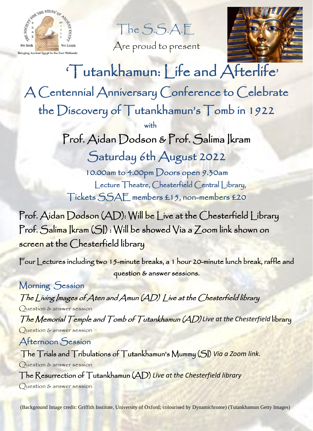

Are proud to present



 'Tutankhamun: Life and Afterlife' A Centennial Anniversary Conference to Celebrate the Discovery of Tutankhamun's Tomb in 1922 with the state of the state of the state of the state of the state of the state of the state of the state of the state of the state of the state of the state of the state of the state of the state of the state of the state Prof. Aidan Dodson & Prof. Salima Ikram Saturday 6th August 2022

> 10.00am to 4.00pm Doors open 9.30am Lecture Theatre, Chesterfield Central Library, Tickets SSAE members £15, non-members £20

Prof. Aidan Dodson (AD): Will be Live at the Chesterfield Library Prof. Salima Ikram (SI) : Will be showed Via a Zoom link shown on screen at the Chesterfield library

Four Lectures including two 15-minute breaks, a 1 hour 20-minute lunch break, raffle and question & answer sessions.

Morning Session The Living Images of Aten and Amun (AD) Live at the Chesterfield library Question & answer session The Memorial Temple and Tomb of Tutankhamun (AD) *Live at the Chesterfield* library Question & answer session Afternoon Session

 The Trials and Tribulations of Tutankhamun's Mummy (SI) *Via a Zoom link.* Question & answer session The Resurrection of Tutankhamun (AD) *Live at the Chesterfield library* Question & answer session

(Background Image credit: Griffith Institute, University of Oxford; colourised by Dynamichrome) (Tutankhamun Getty Images)